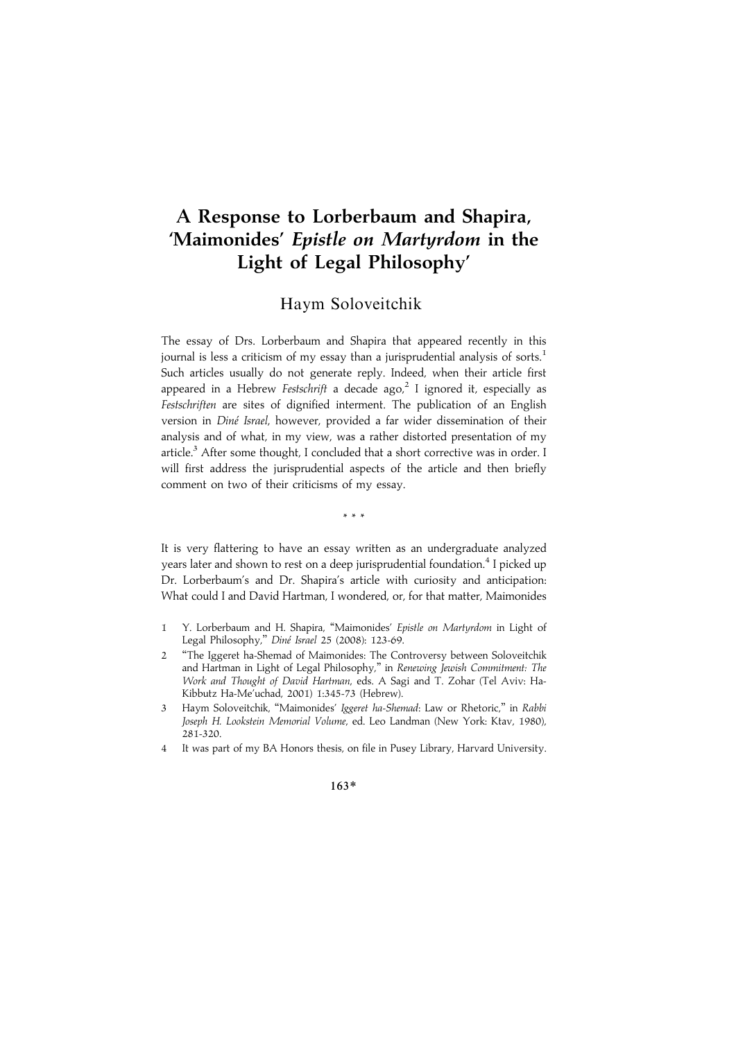# A Response to Lorberbaum and Shapira, 'Maimonides' Epistle on Martyrdom in the Light of Legal Philosophy'

## Haym Soloveitchik

The essay of Drs. Lorberbaum and Shapira that appeared recently in this journal is less a criticism of my essay than a jurisprudential analysis of sorts.<sup>1</sup> Such articles usually do not generate reply. Indeed, when their article first appeared in a Hebrew Festschrift a decade ago,<sup>2</sup> I ignored it, especially as Festschriften are sites of dignified interment. The publication of an English version in Diné Israel, however, provided a far wider dissemination of their analysis and of what, in my view, was a rather distorted presentation of my article.<sup>3</sup> After some thought, I concluded that a short corrective was in order. I will first address the jurisprudential aspects of the article and then briefly comment on two of their criticisms of my essay.

\*\*\*

It is very flattering to have an essay written as an undergraduate analyzed years later and shown to rest on a deep jurisprudential foundation.<sup>4</sup> I picked up Dr. Lorberbaum's and Dr. Shapira's article with curiosity and anticipation: What could I and David Hartman, I wondered, or, for that matter, Maimonides

- 1 Y. Lorberbaum and H. Shapira, "Maimonides' Epistle on Martyrdom in Light of Legal Philosophy," Diné Israel 25 (2008): 123-69.
- 2 ''The Iggeret ha-Shemad of Maimonides: The Controversy between Soloveitchik and Hartman in Light of Legal Philosophy,'' in Renewing Jewish Commitment: The Work and Thought of David Hartman, eds. A Sagi and T. Zohar (Tel Aviv: Ha-Kibbutz Ha-Me'uchad, 2001) 1:345-73 (Hebrew).
- 3 Haym Soloveitchik, ''Maimonides' Iggeret ha-Shemad: Law or Rhetoric,'' in Rabbi Joseph H. Lookstein Memorial Volume, ed. Leo Landman (New York: Ktav, 1980), 281-320.
- 4 It was part of my BA Honors thesis, on file in Pusey Library, Harvard University.

#### 163\*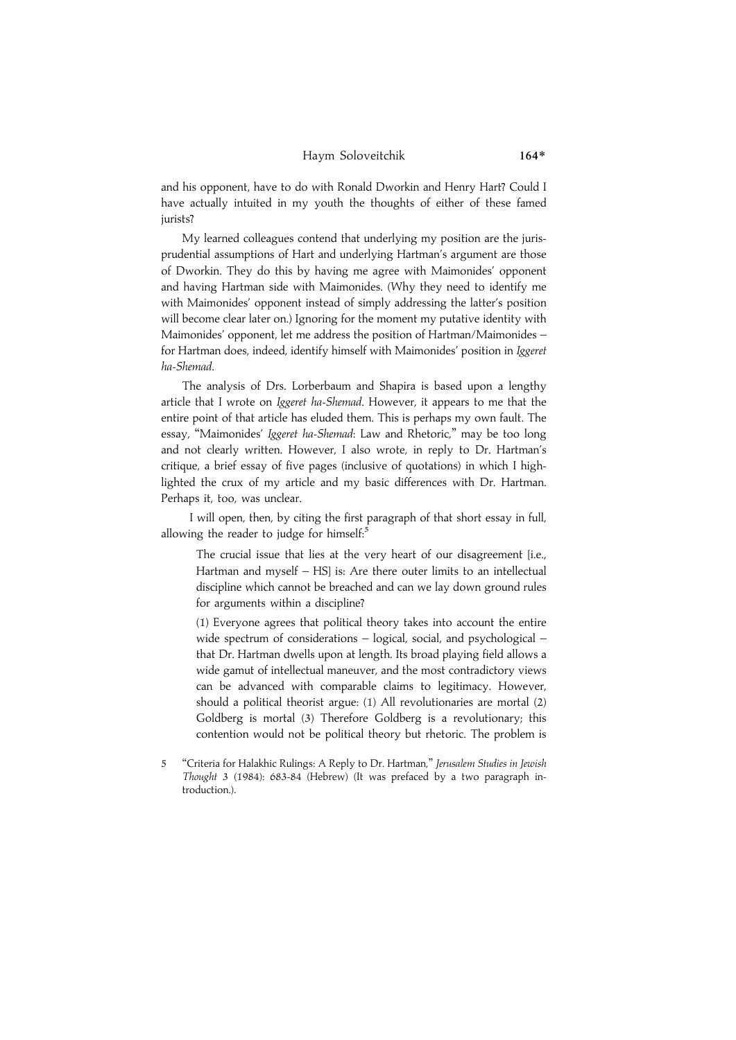### Haym Soloveitchik 164\*

and his opponent, have to do with Ronald Dworkin and Henry Hart? Could I have actually intuited in my youth the thoughts of either of these famed jurists?

My learned colleagues contend that underlying my position are the jurisprudential assumptions of Hart and underlying Hartman's argument are those of Dworkin. They do this by having me agree with Maimonides' opponent and having Hartman side with Maimonides. (Why they need to identify me with Maimonides' opponent instead of simply addressing the latter's position will become clear later on.) Ignoring for the moment my putative identity with Maimonides' opponent, let me address the position of Hartman/Maimonides – for Hartman does, indeed, identify himself with Maimonides' position in Iggeret ha-Shemad.

The analysis of Drs. Lorberbaum and Shapira is based upon a lengthy article that I wrote on *Iggeret ha-Shemad*. However, it appears to me that the entire point of that article has eluded them. This is perhaps my own fault. The essay, "Maimonides' Iggeret ha-Shemad: Law and Rhetoric," may be too long and not clearly written. However, I also wrote, in reply to Dr. Hartman's critique, a brief essay of five pages (inclusive of quotations) in which I highlighted the crux of my article and my basic differences with Dr. Hartman. Perhaps it, too, was unclear.

I will open, then, by citing the first paragraph of that short essay in full, allowing the reader to judge for himself: $5$ 

The crucial issue that lies at the very heart of our disagreement [i.e., Hartman and myself – HS] is: Are there outer limits to an intellectual discipline which cannot be breached and can we lay down ground rules for arguments within a discipline?

(1) Everyone agrees that political theory takes into account the entire wide spectrum of considerations – logical, social, and psychological – that Dr. Hartman dwells upon at length. Its broad playing field allows a wide gamut of intellectual maneuver, and the most contradictory views can be advanced with comparable claims to legitimacy. However, should a political theorist argue: (1) All revolutionaries are mortal (2) Goldberg is mortal (3) Therefore Goldberg is a revolutionary; this contention would not be political theory but rhetoric. The problem is

5 ''Criteria for Halakhic Rulings: A Reply to Dr. Hartman,'' Jerusalem Studies in Jewish Thought 3 (1984): 683-84 (Hebrew) (It was prefaced by a two paragraph introduction.).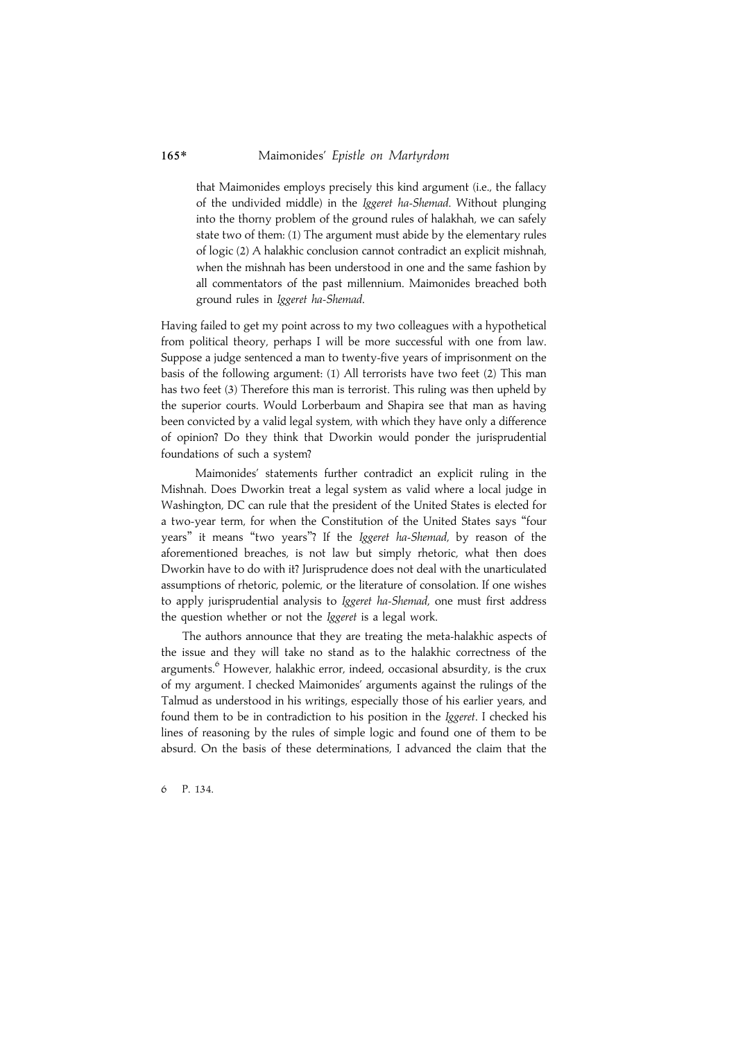### 165\* Maimonides' Epistle on Martyrdom

that Maimonides employs precisely this kind argument (i.e., the fallacy of the undivided middle) in the Iggeret ha-Shemad. Without plunging into the thorny problem of the ground rules of halakhah, we can safely state two of them: (1) The argument must abide by the elementary rules of logic (2) A halakhic conclusion cannot contradict an explicit mishnah, when the mishnah has been understood in one and the same fashion by all commentators of the past millennium. Maimonides breached both ground rules in Iggeret ha-Shemad.

Having failed to get my point across to my two colleagues with a hypothetical from political theory, perhaps I will be more successful with one from law. Suppose a judge sentenced a man to twenty-five years of imprisonment on the basis of the following argument: (1) All terrorists have two feet (2) This man has two feet (3) Therefore this man is terrorist. This ruling was then upheld by the superior courts. Would Lorberbaum and Shapira see that man as having been convicted by a valid legal system, with which they have only a difference of opinion? Do they think that Dworkin would ponder the jurisprudential foundations of such a system?

Maimonides' statements further contradict an explicit ruling in the Mishnah. Does Dworkin treat a legal system as valid where a local judge in Washington, DC can rule that the president of the United States is elected for a two-year term, for when the Constitution of the United States says ''four years'' it means ''two years''? If the Iggeret ha-Shemad, by reason of the aforementioned breaches, is not law but simply rhetoric, what then does Dworkin have to do with it? Jurisprudence does not deal with the unarticulated assumptions of rhetoric, polemic, or the literature of consolation. If one wishes to apply jurisprudential analysis to Iggeret ha-Shemad, one must first address the question whether or not the Iggeret is a legal work.

The authors announce that they are treating the meta-halakhic aspects of the issue and they will take no stand as to the halakhic correctness of the arguments.<sup>6</sup> However, halakhic error, indeed, occasional absurdity, is the crux of my argument. I checked Maimonides' arguments against the rulings of the Talmud as understood in his writings, especially those of his earlier years, and found them to be in contradiction to his position in the Iggeret. I checked his lines of reasoning by the rules of simple logic and found one of them to be absurd. On the basis of these determinations, I advanced the claim that the

6 P. 134.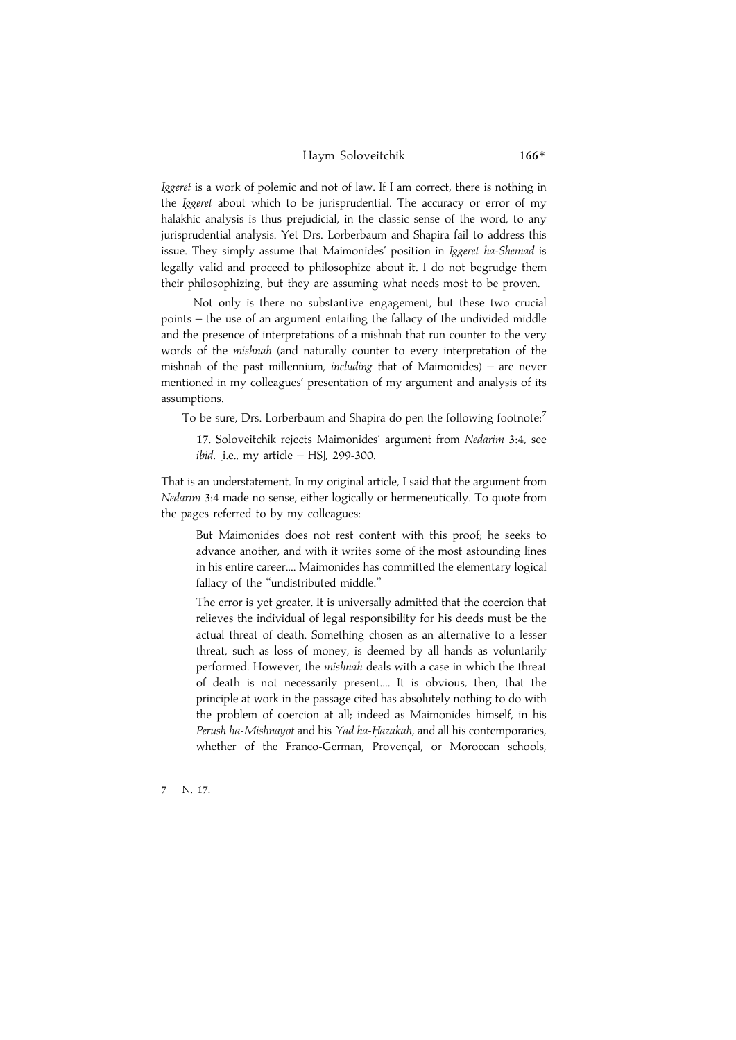#### Haym Soloveitchik 166\*

Iggeret is a work of polemic and not of law. If I am correct, there is nothing in the Iggeret about which to be jurisprudential. The accuracy or error of my halakhic analysis is thus prejudicial, in the classic sense of the word, to any jurisprudential analysis. Yet Drs. Lorberbaum and Shapira fail to address this issue. They simply assume that Maimonides' position in Iggeret ha-Shemad is legally valid and proceed to philosophize about it. I do not begrudge them their philosophizing, but they are assuming what needs most to be proven.

Not only is there no substantive engagement, but these two crucial points – the use of an argument entailing the fallacy of the undivided middle and the presence of interpretations of a mishnah that run counter to the very words of the mishnah (and naturally counter to every interpretation of the mishnah of the past millennium, including that of Maimonides) – are never mentioned in my colleagues' presentation of my argument and analysis of its assumptions.

To be sure, Drs. Lorberbaum and Shapira do pen the following footnote:<sup>7</sup>

17. Soloveitchik rejects Maimonides' argument from Nedarim 3:4, see ibid. [i.e., my article – HS], 299-300.

That is an understatement. In my original article, I said that the argument from Nedarim 3:4 made no sense, either logically or hermeneutically. To quote from the pages referred to by my colleagues:

But Maimonides does not rest content with this proof; he seeks to advance another, and with it writes some of the most astounding lines in his entire career.... Maimonides has committed the elementary logical fallacy of the "undistributed middle."

The error is yet greater. It is universally admitted that the coercion that relieves the individual of legal responsibility for his deeds must be the actual threat of death. Something chosen as an alternative to a lesser threat, such as loss of money, is deemed by all hands as voluntarily performed. However, the mishnah deals with a case in which the threat of death is not necessarily present.... It is obvious, then, that the principle at work in the passage cited has absolutely nothing to do with the problem of coercion at all; indeed as Maimonides himself, in his Perush ha-Mishnayot and his Yad ha-Hazakah, and all his contemporaries, whether of the Franco-German, Provençal, or Moroccan schools,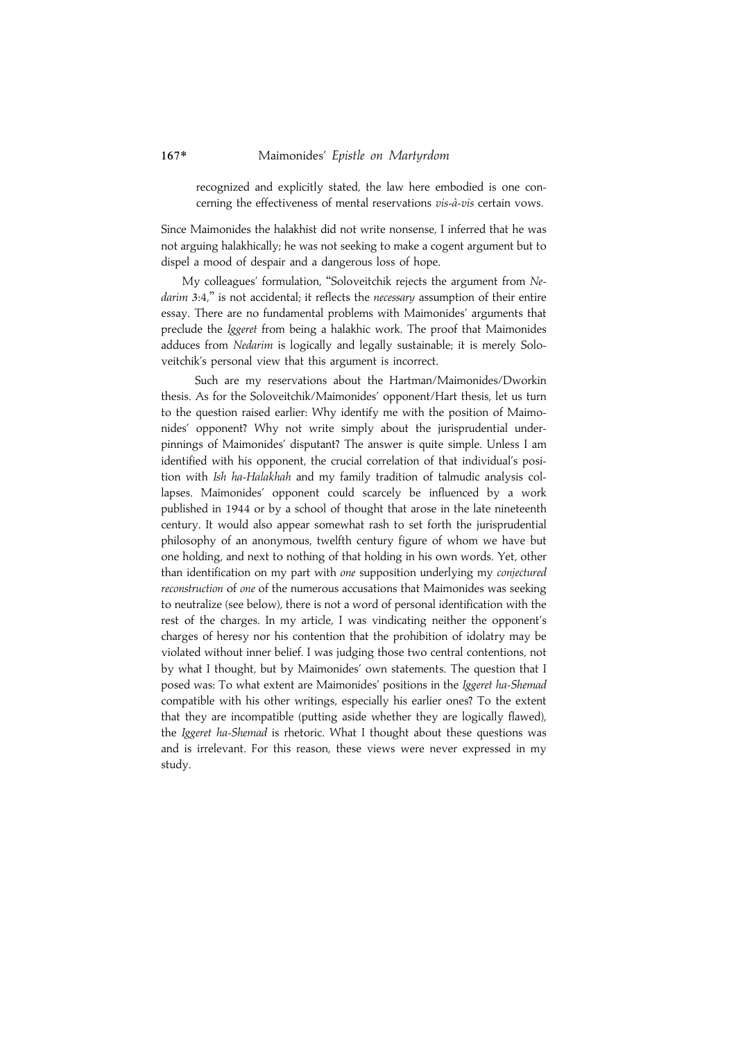recognized and explicitly stated, the law here embodied is one concerning the effectiveness of mental reservations vis-à-vis certain vows.

Since Maimonides the halakhist did not write nonsense, I inferred that he was not arguing halakhically; he was not seeking to make a cogent argument but to dispel a mood of despair and a dangerous loss of hope.

My colleagues' formulation, ''Soloveitchik rejects the argument from Nedarim 3:4," is not accidental; it reflects the necessary assumption of their entire essay. There are no fundamental problems with Maimonides' arguments that preclude the Iggeret from being a halakhic work. The proof that Maimonides adduces from Nedarim is logically and legally sustainable; it is merely Soloveitchik's personal view that this argument is incorrect.

Such are my reservations about the Hartman/Maimonides/Dworkin thesis. As for the Soloveitchik/Maimonides' opponent/Hart thesis, let us turn to the question raised earlier: Why identify me with the position of Maimonides' opponent? Why not write simply about the jurisprudential underpinnings of Maimonides' disputant? The answer is quite simple. Unless I am identified with his opponent, the crucial correlation of that individual's position with Ish ha-Halakhah and my family tradition of talmudic analysis collapses. Maimonides' opponent could scarcely be influenced by a work published in 1944 or by a school of thought that arose in the late nineteenth century. It would also appear somewhat rash to set forth the jurisprudential philosophy of an anonymous, twelfth century figure of whom we have but one holding, and next to nothing of that holding in his own words. Yet, other than identification on my part with one supposition underlying my conjectured reconstruction of one of the numerous accusations that Maimonides was seeking to neutralize (see below), there is not a word of personal identification with the rest of the charges. In my article, I was vindicating neither the opponent's charges of heresy nor his contention that the prohibition of idolatry may be violated without inner belief. I was judging those two central contentions, not by what I thought, but by Maimonides' own statements. The question that I posed was: To what extent are Maimonides' positions in the Iggeret ha-Shemad compatible with his other writings, especially his earlier ones? To the extent that they are incompatible (putting aside whether they are logically flawed), the Iggeret ha-Shemad is rhetoric. What I thought about these questions was and is irrelevant. For this reason, these views were never expressed in my study.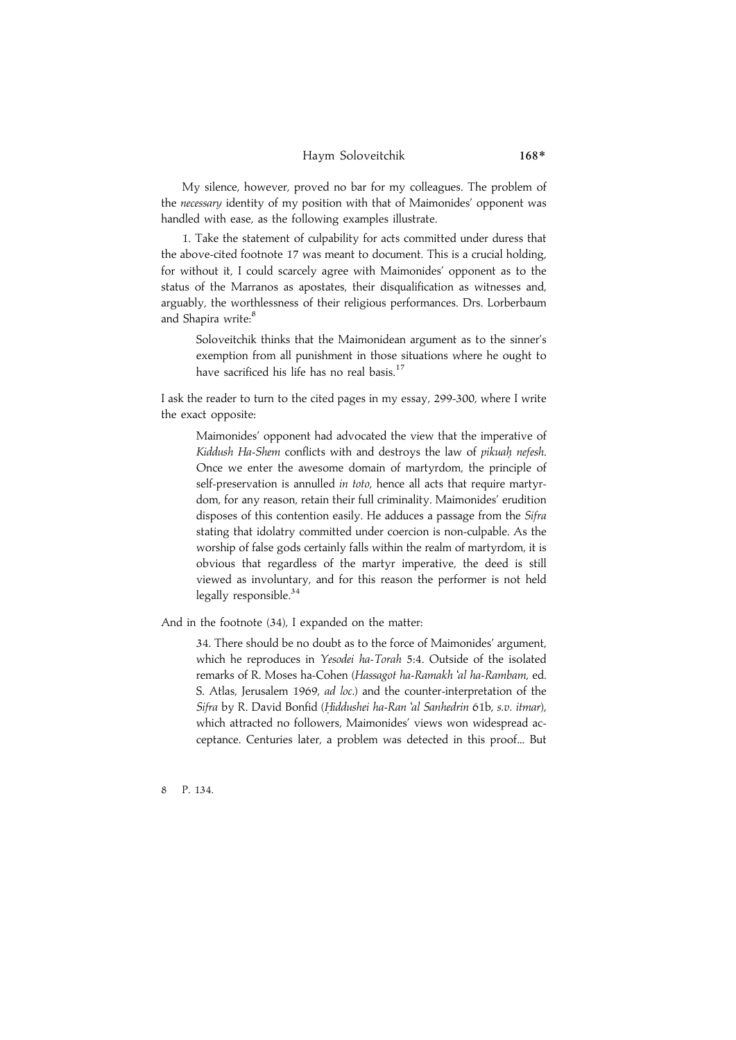### Haym Soloveitchik 168\*

My silence, however, proved no bar for my colleagues. The problem of the necessary identity of my position with that of Maimonides' opponent was handled with ease, as the following examples illustrate.

1. Take the statement of culpability for acts committed under duress that the above-cited footnote 17 was meant to document. This is a crucial holding, for without it, I could scarcely agree with Maimonides' opponent as to the status of the Marranos as apostates, their disqualification as witnesses and, arguably, the worthlessness of their religious performances. Drs. Lorberbaum and Shapira write:<sup>8</sup>

Soloveitchik thinks that the Maimonidean argument as to the sinner's exemption from all punishment in those situations where he ought to have sacrificed his life has no real basis.<sup>17</sup>

I ask the reader to turn to the cited pages in my essay, 299-300, where I write the exact opposite:

Maimonides' opponent had advocated the view that the imperative of Kiddush Ha-Shem conflicts with and destroys the law of pikuah nefesh. Once we enter the awesome domain of martyrdom, the principle of self-preservation is annulled in toto, hence all acts that require martyrdom, for any reason, retain their full criminality. Maimonides' erudition disposes of this contention easily. He adduces a passage from the Sifra stating that idolatry committed under coercion is non-culpable. As the worship of false gods certainly falls within the realm of martyrdom, it is obvious that regardless of the martyr imperative, the deed is still viewed as involuntary, and for this reason the performer is not held legally responsible.<sup>34</sup>

And in the footnote (34), I expanded on the matter:

34. There should be no doubt as to the force of Maimonides' argument, which he reproduces in Yesodei ha-Torah 5:4. Outside of the isolated remarks of R. Moses ha-Cohen (Hassagot ha-Ramakh 'al ha-Rambam, ed. S. Atlas, Jerusalem 1969, ad loc.) and the counter-interpretation of the Sifra by R. David Bonfid (Hiddushei ha-Ran 'al Sanhedrin 61b, s.v. itmar), which attracted no followers, Maimonides' views won widespread acceptance. Centuries later, a problem was detected in this proof... But

8 P. 134.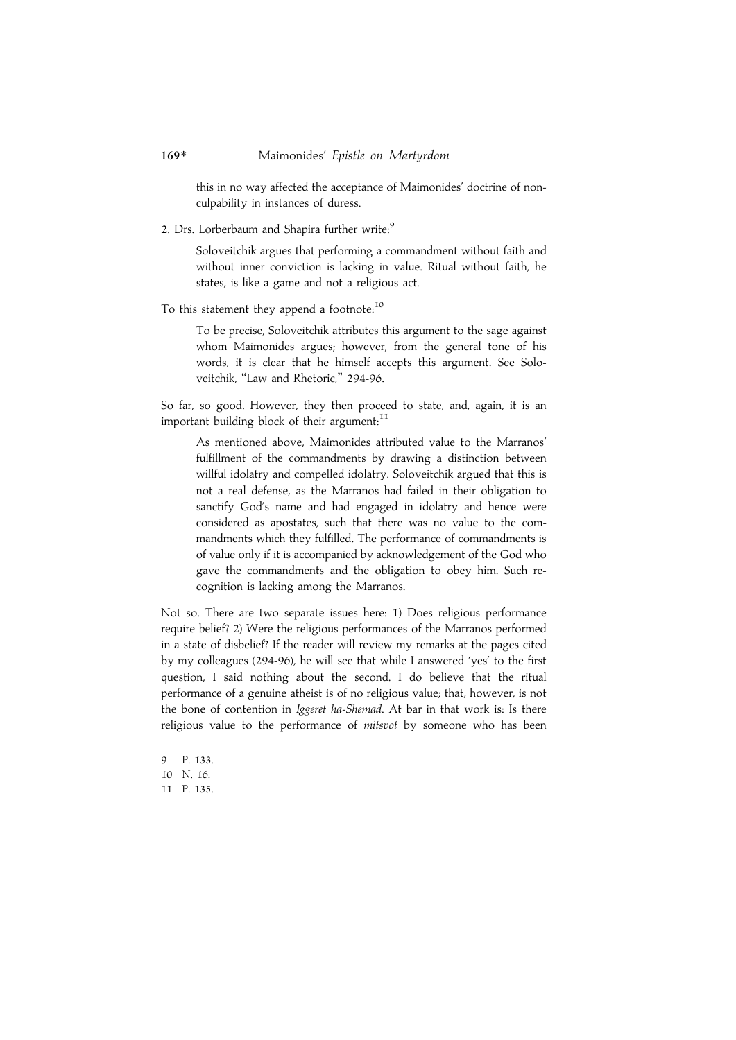this in no way affected the acceptance of Maimonides' doctrine of nonculpability in instances of duress.

2. Drs. Lorberbaum and Shapira further write:9

Soloveitchik argues that performing a commandment without faith and without inner conviction is lacking in value. Ritual without faith, he states, is like a game and not a religious act.

To this statement they append a footnote:<sup>10</sup>

To be precise, Soloveitchik attributes this argument to the sage against whom Maimonides argues; however, from the general tone of his words, it is clear that he himself accepts this argument. See Soloveitchik, ''Law and Rhetoric,'' 294-96.

So far, so good. However, they then proceed to state, and, again, it is an important building block of their argument:<sup>11</sup>

As mentioned above, Maimonides attributed value to the Marranos' fulfillment of the commandments by drawing a distinction between willful idolatry and compelled idolatry. Soloveitchik argued that this is not a real defense, as the Marranos had failed in their obligation to sanctify God's name and had engaged in idolatry and hence were considered as apostates, such that there was no value to the commandments which they fulfilled. The performance of commandments is of value only if it is accompanied by acknowledgement of the God who gave the commandments and the obligation to obey him. Such recognition is lacking among the Marranos.

Not so. There are two separate issues here: 1) Does religious performance require belief? 2) Were the religious performances of the Marranos performed in a state of disbelief? If the reader will review my remarks at the pages cited by my colleagues (294-96), he will see that while I answered 'yes' to the first question, I said nothing about the second. I do believe that the ritual performance of a genuine atheist is of no religious value; that, however, is not the bone of contention in Iggeret ha-Shemad. At bar in that work is: Is there religious value to the performance of mitsvot by someone who has been

9 P. 133. 10 N. 16. 11 P. 135.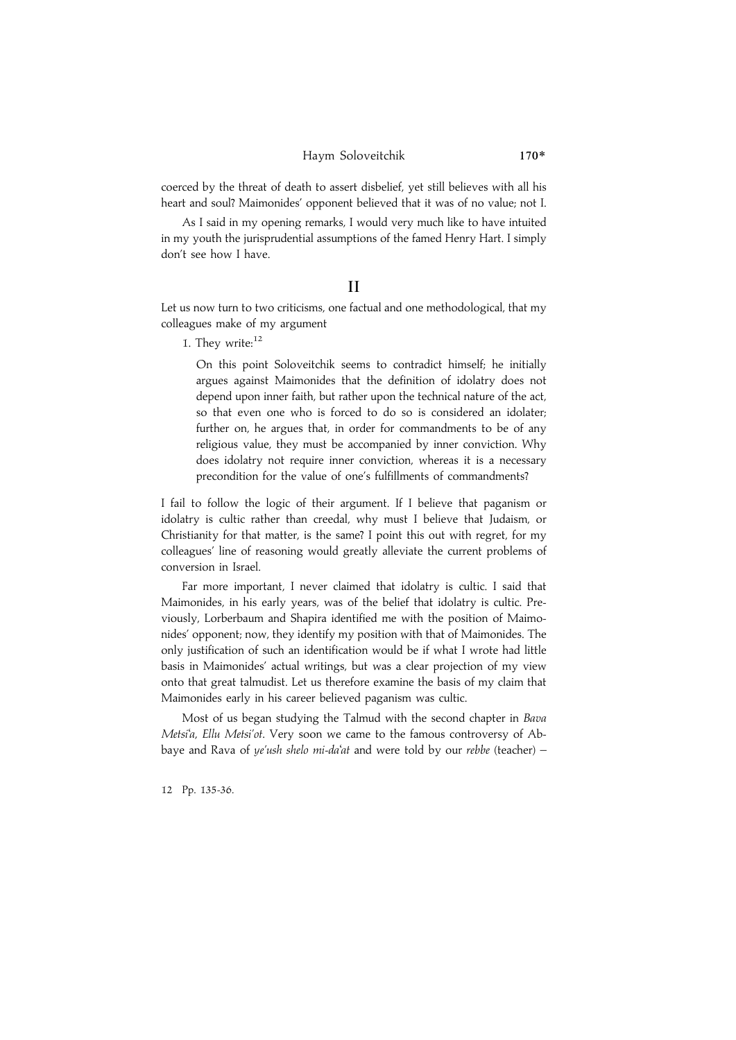### Haym Soloveitchik 170\*

coerced by the threat of death to assert disbelief, yet still believes with all his heart and soul? Maimonides' opponent believed that it was of no value; not I.

As I said in my opening remarks, I would very much like to have intuited in my youth the jurisprudential assumptions of the famed Henry Hart. I simply don't see how I have.

### II

Let us now turn to two criticisms, one factual and one methodological, that my colleagues make of my argument

1. They write:<sup>12</sup>

On this point Soloveitchik seems to contradict himself; he initially argues against Maimonides that the definition of idolatry does not depend upon inner faith, but rather upon the technical nature of the act, so that even one who is forced to do so is considered an idolater; further on, he argues that, in order for commandments to be of any religious value, they must be accompanied by inner conviction. Why does idolatry not require inner conviction, whereas it is a necessary precondition for the value of one's fulfillments of commandments?

I fail to follow the logic of their argument. If I believe that paganism or idolatry is cultic rather than creedal, why must I believe that Judaism, or Christianity for that matter, is the same? I point this out with regret, for my colleagues' line of reasoning would greatly alleviate the current problems of conversion in Israel.

Far more important, I never claimed that idolatry is cultic. I said that Maimonides, in his early years, was of the belief that idolatry is cultic. Previously, Lorberbaum and Shapira identified me with the position of Maimonides' opponent; now, they identify my position with that of Maimonides. The only justification of such an identification would be if what I wrote had little basis in Maimonides' actual writings, but was a clear projection of my view onto that great talmudist. Let us therefore examine the basis of my claim that Maimonides early in his career believed paganism was cultic.

Most of us began studying the Talmud with the second chapter in Bava Metsi'a, Ellu Metsi'ot. Very soon we came to the famous controversy of Abbaye and Rava of ye'ush shelo mi-da'at and were told by our rebbe (teacher) -

12 Pp. 135-36.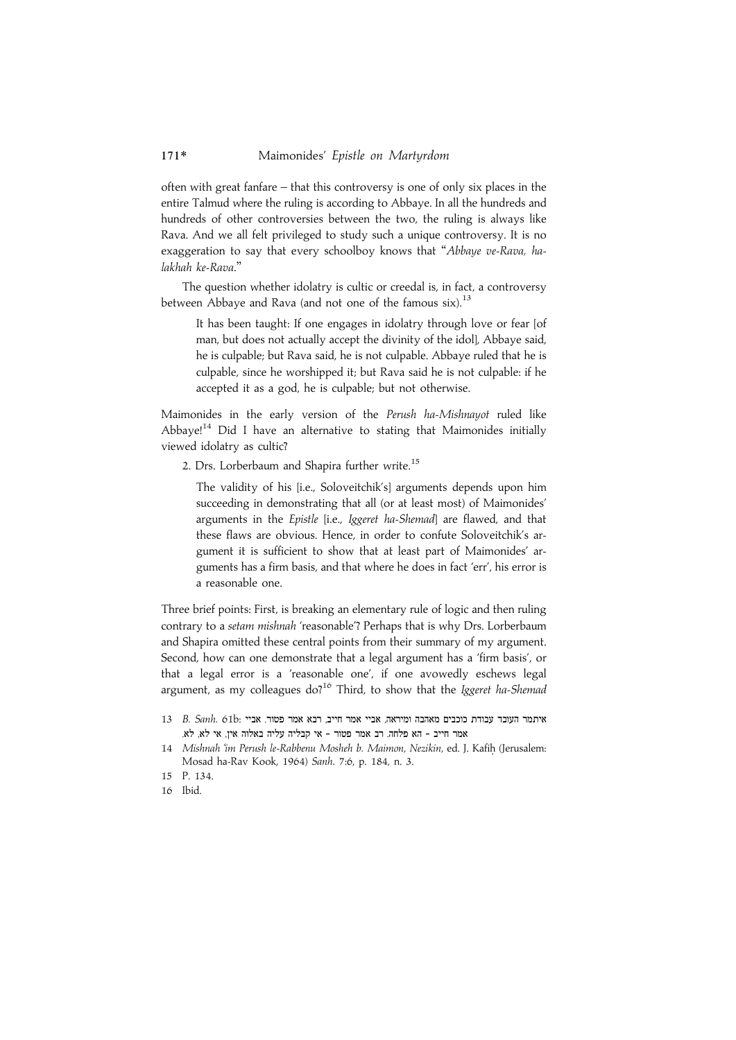often with great fanfare – that this controversy is one of only six places in the entire Talmud where the ruling is according to Abbaye. In all the hundreds and hundreds of other controversies between the two, the ruling is always like Rava. And we all felt privileged to study such a unique controversy. It is no exaggeration to say that every schoolboy knows that ''Abbaye ve-Rava, halakhah ke-Rava.''

The question whether idolatry is cultic or creedal is, in fact, a controversy between Abbaye and Rava (and not one of the famous six).<sup>13</sup>

It has been taught: If one engages in idolatry through love or fear [of man, but does not actually accept the divinity of the idol], Abbaye said, he is culpable; but Rava said, he is not culpable. Abbaye ruled that he is culpable, since he worshipped it; but Rava said he is not culpable: if he accepted it as a god, he is culpable; but not otherwise.

Maimonides in the early version of the Perush ha-Mishnayot ruled like Abbaye!<sup>14</sup> Did I have an alternative to stating that Maimonides initially viewed idolatry as cultic?

2. Drs. Lorberbaum and Shapira further write.<sup>15</sup>

The validity of his [i.e., Soloveitchik's] arguments depends upon him succeeding in demonstrating that all (or at least most) of Maimonides' arguments in the Epistle [i.e., Iggeret ha-Shemad] are flawed, and that these flaws are obvious. Hence, in order to confute Soloveitchik's argument it is sufficient to show that at least part of Maimonides' arguments has a firm basis, and that where he does in fact 'err', his error is a reasonable one.

Three brief points: First, is breaking an elementary rule of logic and then ruling contrary to a setam mishnah 'reasonable'? Perhaps that is why Drs. Lorberbaum and Shapira omitted these central points from their summary of my argument. Second, how can one demonstrate that a legal argument has a 'firm basis', or that a legal error is a 'reasonable one', if one avowedly eschews legal argument, as my colleagues  $do<sup>16</sup>$  Third, to show that the *Iggeret ha-Shemad* 

- 13 B. Sanh. 61b: איתמר העובד עבודת כוכבים מאהבה ומיראה, אביי אמר חייב, רבא אמר פטור. אביי .<br>אמר חייב - הא פלחה, רב אמר פטור - אי קבליה עליה באלוה אין, אי לא
- 14 Mishnah 'im Perush le-Rabbenu Mosheh b. Maimon, Nezikin, ed. J. Kafih. (Jerusalem: Mosad ha-Rav Kook, 1964) Sanh. 7:6, p. 184, n. 3.
- 15 P. 134.
- 16 Ibid.